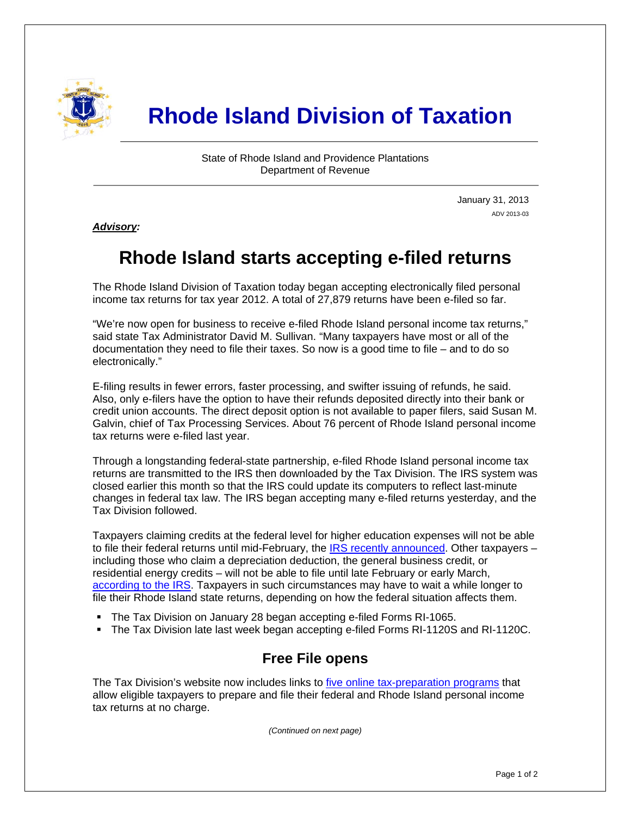

# **Rhode Island Division of Taxation**

State of Rhode Island and Providence Plantations Department of Revenue

> January 31, 2013 ADV 2013-03

*Advisory:* 

i

## **Rhode Island starts accepting e-filed returns**

The Rhode Island Division of Taxation today began accepting electronically filed personal income tax returns for tax year 2012. A total of 27,879 returns have been e-filed so far.

"We're now open for business to receive e-filed Rhode Island personal income tax returns," said state Tax Administrator David M. Sullivan. "Many taxpayers have most or all of the documentation they need to file their taxes. So now is a good time to file – and to do so electronically."

E-filing results in fewer errors, faster processing, and swifter issuing of refunds, he said. Also, only e-filers have the option to have their refunds deposited directly into their bank or credit union accounts. The direct deposit option is not available to paper filers, said Susan M. Galvin, chief of Tax Processing Services. About 76 percent of Rhode Island personal income tax returns were e-filed last year.

Through a longstanding federal-state partnership, e-filed Rhode Island personal income tax returns are transmitted to the IRS then downloaded by the Tax Division. The IRS system was closed earlier this month so that the IRS could update its computers to reflect last-minute changes in federal tax law. The IRS began accepting many e-filed returns yesterday, and the Tax Division followed.

Taxpayers claiming credits at the federal level for higher education expenses will not be able to file their federal returns until mid-February, the [IRS recently announced.](http://www.irs.gov/uac/Newsroom/IRS-To-Accept-Returns-Claiming-Education-Credits-by-Mid-February) Other taxpayers – including those who claim a depreciation deduction, the general business credit, or residential energy credits – will not be able to file until late February or early March, [according to the IRS](http://www.irs.gov/uac/Newsroom/List-of-IRS-forms-that-1040-filers-can-begin-filing-in-late-February-or-into-March-2013). Taxpayers in such circumstances may have to wait a while longer to file their Rhode Island state returns, depending on how the federal situation affects them.

- The Tax Division on January 28 began accepting e-filed Forms RI-1065.
- The Tax Division late last week began accepting e-filed Forms RI-1120S and RI-1120C.

### **Free File opens**

The Tax Division's website now includes links to [five online tax-preparation programs](http://www.tax.ri.gov/misc/efile.php) that allow eligible taxpayers to prepare and file their federal and Rhode Island personal income tax returns at no charge.

*(Continued on next page)*